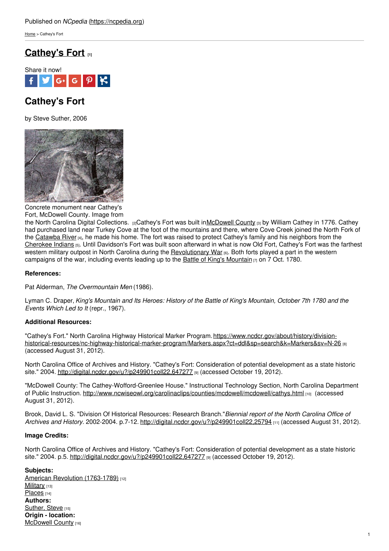[Home](https://ncpedia.org/) > Cathey's Fort

## **[Cathey's](https://ncpedia.org/catheys-fort) Fort [1]**



# **Cathey's Fort**

by Steve Suther, 2006



Concrete monument near Cathey's Fort, McDowell County. Image from

the North Carolina Digital [Collections.](http://digital.ncdcr.gov/u?/p249901coll22,647281) [2]Cathey's Fort was built in[McDowell](https://ncpedia.org/geography/mcdowell) County [3] by William Cathey in 1776. Cathey had purchased land near Turkey Cove at the foot of the mountains and there, where Cove Creek joined the North Fork of the [Catawba](https://ncpedia.org/rivers/catawba) River [4], he made his home. The fort was raised to protect Cathey's family and his neighbors from the [Cherokee](https://ncpedia.org/cherokee/overview) Indians <sub>[5]</sub>. Until Davidson's Fort was built soon afterward in what is now Old Fort, Cathey's Fort was the farthest western military outpost in North Carolina during the [Revolutionary](https://ncpedia.org/american-revolution) War [6]. Both forts played a part in the western campaigns of the war, including events leading up to the Battle of King's [Mountain](https://ncpedia.org/kings-mountain-battle)  $\overline{r}$  on 7 Oct. 1780.

#### **References:**

Pat Alderman, *The Overmountain Men* (1986).

Lyman C. Draper, King's Mountain and Its Heroes: History of the Battle of King's Mountain, October 7th 1780 and the *Events Which Led to It* (repr., 1967).

### **Additional Resources:**

"Cathey's Fort." North Carolina Highway Historical Marker Program.https://www.ncdcr.gov/about/history/division[historical-resources/nc-highway-historical-marker-program/Markers.aspx?ct=ddl&sp=search&k=Markers&sv=N-26](https://www.ncdcr.gov/about/history/division-historical-resources/nc-highway-historical-marker-program/Markers.aspx?ct=ddl&sp=search&k=Markers&sv=N-26) [8] (accessed August 31, 2012).

North Carolina Office of Archives and History. "Cathey's Fort: Consideration of potential development as a state historic site." 2004. <http://digital.ncdcr.gov/u?/p249901coll22,647277> [9] (accessed October 19, 2012).

"McDowell County: The Cathey-Wofford-Greenlee House." Instructional Technology Section, North Carolina Department of Public Instruction. <http://www.ncwiseowl.org/carolinaclips/counties/mcdowell/mcdowell/cathys.html> [10] (accessed August 31, 2012).

Brook, David L. S. "Division Of Historical Resources: Research Branch."*Biennial report of the North Carolina Office of Archives and History.* 2002-2004. p.7-12. <http://digital.ncdcr.gov/u?/p249901coll22,25794> [11] (accessed August 31, 2012).

### **Image Credits:**

North Carolina Office of Archives and History. "Cathey's Fort: Consideration of potential development as a state historic site." 2004. p.5. <http://digital.ncdcr.gov/u?/p249901coll22,647277> [9] (accessed October 19, 2012).

### **Subjects:**

American Revolution [\(1763-1789\)](https://ncpedia.org/category/subjects/us-revolution) [12] [Military](https://ncpedia.org/category/subjects/military) [13] [Places](https://ncpedia.org/category/subjects/places) [14] **Authors:** [Suther,](https://ncpedia.org/category/authors/suther-steve) Steve [15] **Origin - location:** [McDowell](https://ncpedia.org/category/origin-location/mountai-13) County [16]